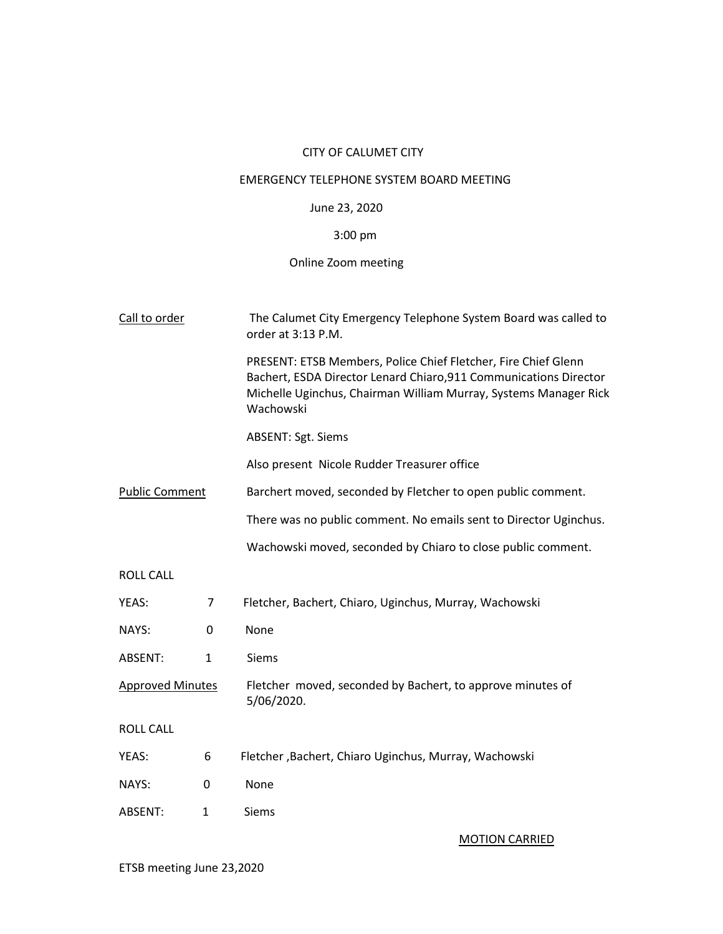## CITY OF CALUMET CITY

## EMERGENCY TELEPHONE SYSTEM BOARD MEETING

## June 23, 2020

# 3:00 pm

# Online Zoom meeting

| Call to order           |              | The Calumet City Emergency Telephone System Board was called to<br>order at 3:13 P.M.                                                                                                                                |  |  |
|-------------------------|--------------|----------------------------------------------------------------------------------------------------------------------------------------------------------------------------------------------------------------------|--|--|
|                         |              | PRESENT: ETSB Members, Police Chief Fletcher, Fire Chief Glenn<br>Bachert, ESDA Director Lenard Chiaro, 911 Communications Director<br>Michelle Uginchus, Chairman William Murray, Systems Manager Rick<br>Wachowski |  |  |
|                         |              | <b>ABSENT: Sgt. Siems</b>                                                                                                                                                                                            |  |  |
|                         |              | Also present Nicole Rudder Treasurer office                                                                                                                                                                          |  |  |
| <b>Public Comment</b>   |              | Barchert moved, seconded by Fletcher to open public comment.                                                                                                                                                         |  |  |
|                         |              | There was no public comment. No emails sent to Director Uginchus.                                                                                                                                                    |  |  |
|                         |              | Wachowski moved, seconded by Chiaro to close public comment.                                                                                                                                                         |  |  |
| <b>ROLL CALL</b>        |              |                                                                                                                                                                                                                      |  |  |
| YEAS:                   | 7            | Fletcher, Bachert, Chiaro, Uginchus, Murray, Wachowski                                                                                                                                                               |  |  |
| NAYS:                   | 0            | None                                                                                                                                                                                                                 |  |  |
| ABSENT:                 | 1            | <b>Siems</b>                                                                                                                                                                                                         |  |  |
| <b>Approved Minutes</b> |              | Fletcher moved, seconded by Bachert, to approve minutes of<br>5/06/2020.                                                                                                                                             |  |  |
| <b>ROLL CALL</b>        |              |                                                                                                                                                                                                                      |  |  |
| YEAS:                   | 6            | Fletcher, Bachert, Chiaro Uginchus, Murray, Wachowski                                                                                                                                                                |  |  |
| NAYS:                   | 0            | None                                                                                                                                                                                                                 |  |  |
| ABSENT:                 | $\mathbf{1}$ | <b>Siems</b>                                                                                                                                                                                                         |  |  |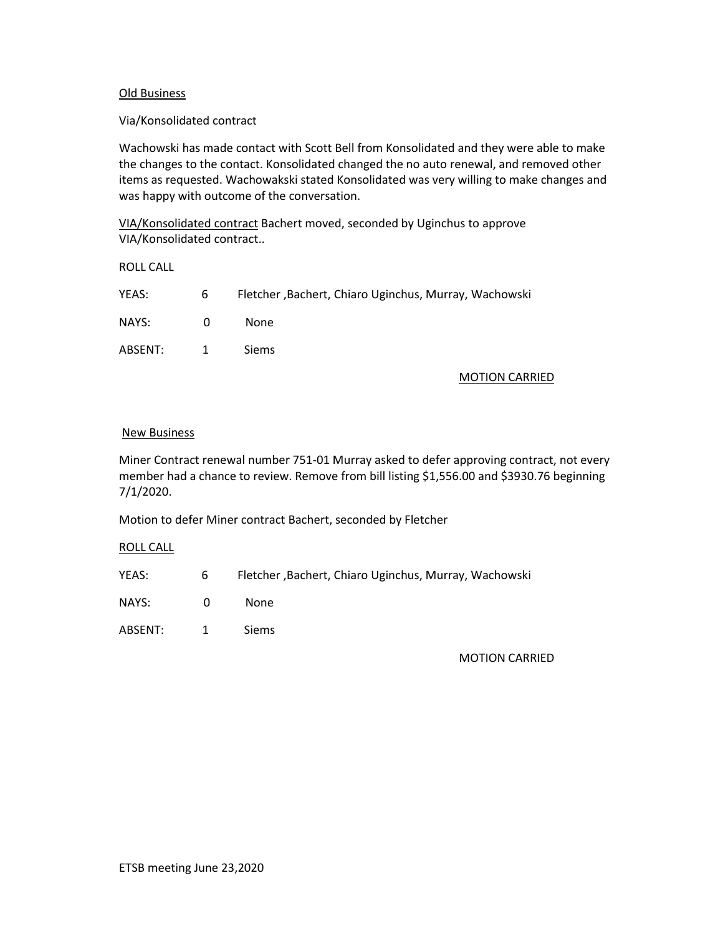## Old Business

#### Via/Konsolidated contract

Wachowski has made contact with Scott Bell from Konsolidated and they were able to make the changes to the contact. Konsolidated changed the no auto renewal, and removed other items as requested. Wachowakski stated Konsolidated was very willing to make changes and was happy with outcome of the conversation.

VIA/Konsolidated contract Bachert moved, seconded by Uginchus to approve VIA/Konsolidated contract..

ROLL CALL

| YEAS:   | 6              | Fletcher, Bachert, Chiaro Uginchus, Murray, Wachowski |
|---------|----------------|-------------------------------------------------------|
| NAYS:   | $\Omega$       | None.                                                 |
| ABSENT: | $\overline{1}$ | <b>Siems</b>                                          |

#### MOTION CARRIED

#### New Business

Miner Contract renewal number 751-01 Murray asked to defer approving contract, not every member had a chance to review. Remove from bill listing \$1,556.00 and \$3930.76 beginning 7/1/2020.

Motion to defer Miner contract Bachert, seconded by Fletcher

ROLL CALL

| YEAS: | Fletcher, Bachert, Chiaro Uginchus, Murray, Wachowski |
|-------|-------------------------------------------------------|
|       |                                                       |

NAYS: 0 None

ABSENT: 1 Siems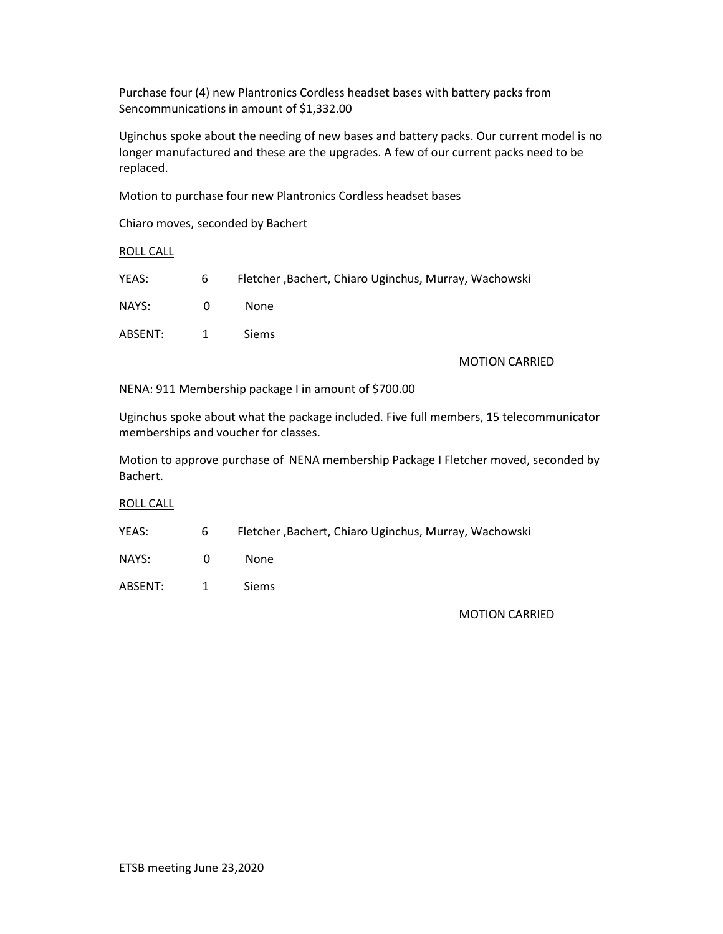Purchase four (4) new Plantronics Cordless headset bases with battery packs from Sencommunications in amount of \$1,332.00

Uginchus spoke about the needing of new bases and battery packs. Our current model is no longer manufactured and these are the upgrades. A few of our current packs need to be replaced.

Motion to purchase four new Plantronics Cordless headset bases

Chiaro moves, seconded by Bachert

ROLL CALL

| YEAS:   | 6              | Fletcher, Bachert, Chiaro Uginchus, Murray, Wachowski |
|---------|----------------|-------------------------------------------------------|
| NAYS:   | $\Omega$       | None.                                                 |
| ABSENT: | $\overline{1}$ | <b>Siems</b>                                          |

#### MOTION CARRIED

NENA: 911 Membership package I in amount of \$700.00

Uginchus spoke about what the package included. Five full members, 15 telecommunicator memberships and voucher for classes.

Motion to approve purchase of NENA membership Package I Fletcher moved, seconded by Bachert.

ROLL CALL

| YEAS: |  |  |  | Fletcher, Bachert, Chiaro Uginchus, Murray, Wachowski |
|-------|--|--|--|-------------------------------------------------------|
|-------|--|--|--|-------------------------------------------------------|

NAYS: 0 None

ABSENT: 1 Siems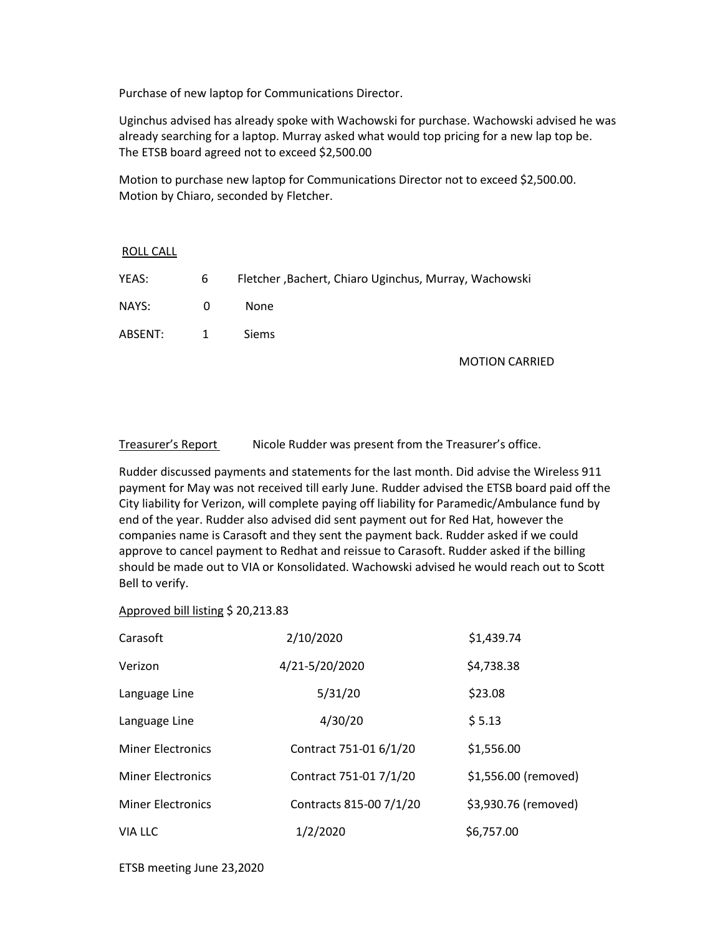Purchase of new laptop for Communications Director.

Uginchus advised has already spoke with Wachowski for purchase. Wachowski advised he was already searching for a laptop. Murray asked what would top pricing for a new lap top be. The ETSB board agreed not to exceed \$2,500.00

Motion to purchase new laptop for Communications Director not to exceed \$2,500.00. Motion by Chiaro, seconded by Fletcher.

## ROLL CALL

| YEAS:     | 6        | Fletcher, Bachert, Chiaro Uginchus, Murray, Wachowski |
|-----------|----------|-------------------------------------------------------|
| NAYS:     | $\Omega$ | None                                                  |
| ABSENT: 1 |          | <b>Siems</b>                                          |

MOTION CARRIED

Treasurer's Report Nicole Rudder was present from the Treasurer's office.

Rudder discussed payments and statements for the last month. Did advise the Wireless 911 payment for May was not received till early June. Rudder advised the ETSB board paid off the City liability for Verizon, will complete paying off liability for Paramedic/Ambulance fund by end of the year. Rudder also advised did sent payment out for Red Hat, however the companies name is Carasoft and they sent the payment back. Rudder asked if we could approve to cancel payment to Redhat and reissue to Carasoft. Rudder asked if the billing should be made out to VIA or Konsolidated. Wachowski advised he would reach out to Scott Bell to verify.

## Approved bill listing \$ 20,213.83

| Carasoft                 | 2/10/2020               | \$1,439.74           |
|--------------------------|-------------------------|----------------------|
| Verizon                  | 4/21-5/20/2020          | \$4,738.38           |
| Language Line            | 5/31/20                 | \$23.08              |
| Language Line            | 4/30/20                 | \$5.13               |
| <b>Miner Electronics</b> | Contract 751-01 6/1/20  | \$1,556.00           |
| <b>Miner Electronics</b> | Contract 751-01 7/1/20  | \$1,556.00 (removed) |
| <b>Miner Electronics</b> | Contracts 815-00 7/1/20 | \$3,930.76 (removed) |
| <b>VIA LLC</b>           | 1/2/2020                | \$6,757.00           |